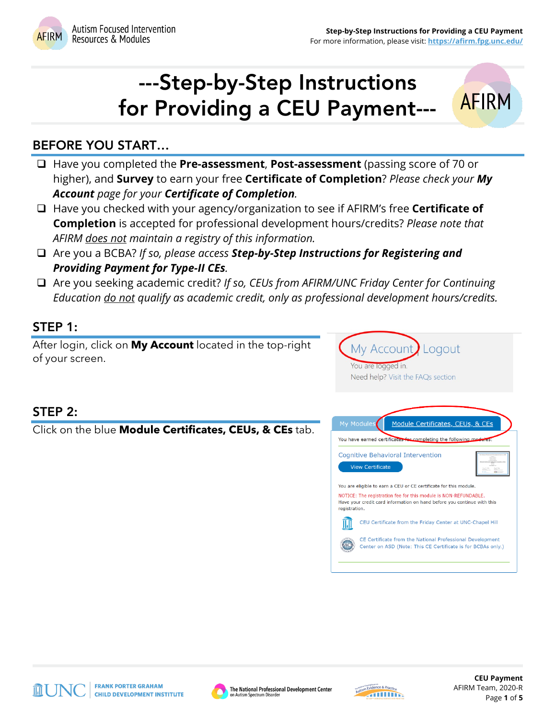**AFIRM** 



# ---Step-by-Step Instructions for Providing a CEU Payment---

# BEFORE YOU START…

- Have you completed the **Pre-assessment**, **Post-assessment** (passing score of 70 or higher), and **Survey** to earn your free **Certificate of Completion**? *Please check your My Account page for your Certificate of Completion.*
- Have you checked with your agency/organization to see if AFIRM's free **Certificate of Completion** is accepted for professional development hours/credits? *Please note that AFIRM does not maintain a registry of this information.*
- Are you a BCBA? *If so, please access Step-by-Step Instructions for Registering and Providing Payment for Type-II CEs.*
- Are you seeking academic credit? *If so, CEUs from AFIRM/UNC Friday Center for Continuing Education do not qualify as academic credit, only as professional development hours/credits.*

# STEP 1:

After login, click on **My Account** located in the top-right of your screen.



Logout

My Account

## STEP 2:

Click on the blue **Module Certificates, CEUs, & CEs** tab.







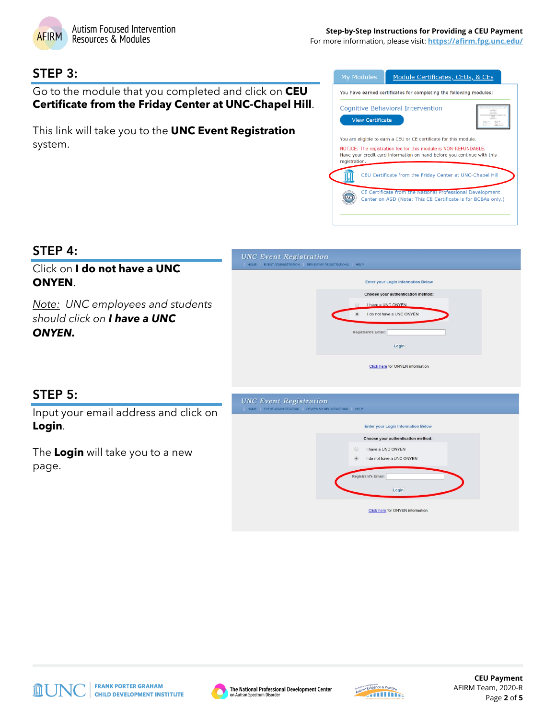

For more information, please visit: **<https://afirm.fpg.unc.edu/>**

#### STEP 3:

Go to the module that you completed and click on **CEU Certificate from the Friday Center at UNC-Chapel Hill**.

This link will take you to the **UNC Event Registration** system.



#### STEP 4:

#### Click on **I do not have a UNC ONYEN**.

*Note: UNC employees and students should click on I have a UNC ONYEN.*



#### STEP 5:

Input your email address and click on **Login**.

The **Login** will take you to a new page.







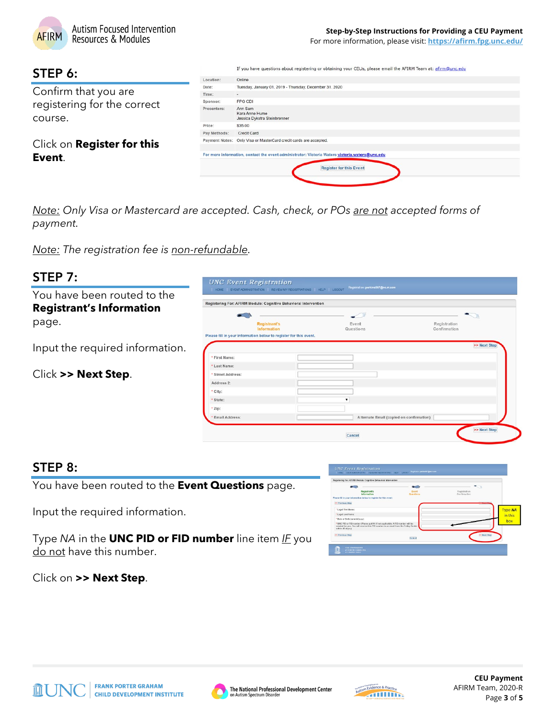

For more information, please visit: **<https://afirm.fpg.unc.edu/>**

### STEP 6:

Confirm that you are registering for the correct course.

Click on **Register for this Event**.

|              | If you have questions about registering or obtaining your CEUs, please email the AFIRM Team at: afirm@unc.edu |
|--------------|---------------------------------------------------------------------------------------------------------------|
| Location:    | Online                                                                                                        |
| Date:        | Tuesday, January 01, 2019 - Thursday, December 31, 2020                                                       |
| Time:        | ٠                                                                                                             |
| Sponsor:     | FPG CDI                                                                                                       |
| Presenters:  | Ann Sam<br>Kara Anne Hume<br>Jessica Dykstra Steinbrenner                                                     |
| Price:       | \$35.00                                                                                                       |
| Pay Methods: | Credit Card                                                                                                   |
|              | Payment Notes: Only Visa or MasterCard credit cards are accepted.                                             |
|              | For more information, contact the event administrator: Victoria Waters victoria.waters@unc.edu                |
|              | <b>Register for this Event</b>                                                                                |
|              |                                                                                                               |

*Note: Only Visa or Mastercard are accepted. Cash, check, or POs are not accepted forms of payment.*

*Note: The registration fee is non-refundable.*

| You have been routed to the<br><b>Registrant's Information</b> | Registering For: AFIRM Module: Cognitive Behavioral Intervention  |                                                    |              |
|----------------------------------------------------------------|-------------------------------------------------------------------|----------------------------------------------------|--------------|
|                                                                |                                                                   |                                                    |              |
| page.                                                          | <b>Registrant's</b><br>Information                                | Registration<br>Event<br>Questions<br>Confirmation |              |
|                                                                | Please fill in your information below to register for this event. |                                                    |              |
| Input the required information.                                |                                                                   |                                                    | >> Next Step |
|                                                                | * First Name:                                                     |                                                    |              |
|                                                                | * Last Name:                                                      |                                                    |              |
| Click >> Next Step.                                            | * Street Address:                                                 |                                                    |              |
|                                                                | Address 2:                                                        |                                                    |              |
|                                                                | * City:                                                           |                                                    |              |
|                                                                | * State:                                                          |                                                    |              |
|                                                                | * Zip:                                                            |                                                    |              |
|                                                                | * Email Address:                                                  | Alternate Email (copied on confirmation)           |              |

## STEP 8:

You have been routed to the **Event Questions** page.

Input the required information.

Type *NA* in the **UNC PID or FID number** line item *IF* you do not have this number.

|                               | Registering For: AFIRM Module: Cognitive Behavioral Intervention                      |                 |                     |         |
|-------------------------------|---------------------------------------------------------------------------------------|-----------------|---------------------|---------|
|                               | Registrant's                                                                          | $\sim$<br>Event | - 1<br>Registration |         |
|                               | Information                                                                           | Questions       | Confirmation        |         |
|                               | Please fill in your information below to register for this event.                     |                 |                     |         |
| ee Previous Step              |                                                                                       |                 |                     |         |
| * Legal First Name:           |                                                                                       |                 |                     | Type NA |
| * Legal Last Name:            |                                                                                       |                 |                     |         |
| * Date of Birth (mm/dd/ysyy): |                                                                                       |                 |                     | in this |
|                               | * UNC PID or FID number (Please put NA if not applicable. A FID number will be        |                 |                     | box     |
| within 45 days.):             | created for you. You will receive this FID number in an email from the Friday Center. |                 |                     |         |
| KK Previous Step              |                                                                                       |                 | >> Next Step        |         |
|                               |                                                                                       | Cancel          |                     |         |

Click on **>> Next Step**.





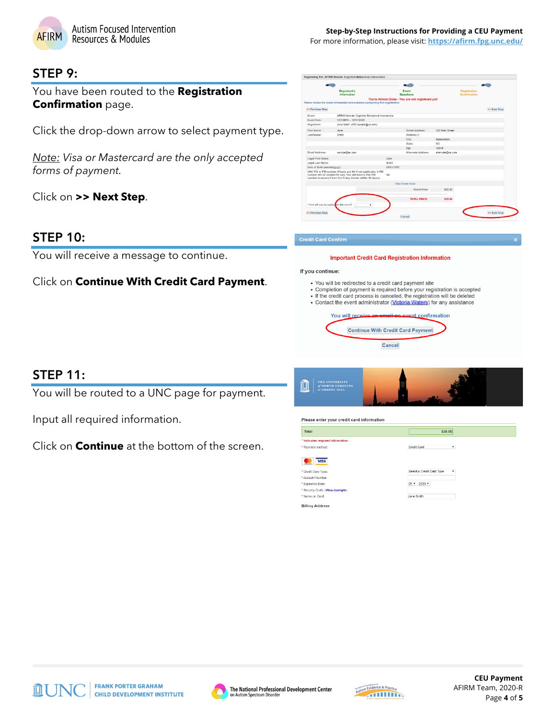

#### STEP 9:

You have been routed to the **Registration Confirmation** page.

Click the drop-down arrow to select payment type.

*Note: Visa or Mastercard are the only accepted forms of payment.*

Click on **>> Next Step**.

#### STEP 10:

You will receive a message to continue.

Click on **Continue With Credit Card Payment**.

|                                          | <b>Registrant's</b><br>Information                                                                                                                                                        |            | Event<br>Questions                               |                  | <b>Registration</b><br>Confirmation |              |
|------------------------------------------|-------------------------------------------------------------------------------------------------------------------------------------------------------------------------------------------|------------|--------------------------------------------------|------------------|-------------------------------------|--------------|
|                                          |                                                                                                                                                                                           |            | You're Almost Done - You are not registered yet! |                  |                                     |              |
|                                          | Please review the event information below before completing this registration.                                                                                                            |            |                                                  |                  |                                     |              |
| << Previous Step                         |                                                                                                                                                                                           |            |                                                  |                  |                                     | >> Next Step |
| Fyent:                                   | AFIRM Module: Cognitive Behavioral Intervention                                                                                                                                           |            |                                                  |                  |                                     |              |
| <b>Fyent Date:</b>                       | 1/01/2019 -- 12/31/2020                                                                                                                                                                   |            |                                                  |                  |                                     |              |
| Registrant:                              | Jane Smith (PID sample@us.com)                                                                                                                                                            |            |                                                  |                  |                                     |              |
| First Name:                              | Jane                                                                                                                                                                                      |            | Street Address:                                  | 123 Main Street  |                                     |              |
| Last Name:                               | Smith                                                                                                                                                                                     |            | Address 2:                                       |                  |                                     |              |
|                                          |                                                                                                                                                                                           |            | City:                                            | Somewhere        |                                     |              |
|                                          |                                                                                                                                                                                           |            | State:                                           | NC.              |                                     |              |
|                                          |                                                                                                                                                                                           |            | $ZID$ :                                          | 12345            |                                     |              |
| Fmall Address:                           | sample@us.com                                                                                                                                                                             |            | Alternate Address:                               | alternate@us.com |                                     |              |
| Legal First Name:                        |                                                                                                                                                                                           | Jane       |                                                  |                  |                                     |              |
| Legal Last Name:                         |                                                                                                                                                                                           | Smith      |                                                  |                  |                                     |              |
| Date of Birth (mm/dd/yyyy):              |                                                                                                                                                                                           | 01/01/1970 |                                                  |                  |                                     |              |
|                                          | UNC PID or FID number (Please put NA if not applicable. A FID<br>number will be created for you. You will receive this FID<br>number in an email from the Friday Center within 45 days.): | <b>NA</b>  |                                                  |                  |                                     |              |
|                                          |                                                                                                                                                                                           |            | <b>Total Event Cost</b>                          |                  |                                     |              |
|                                          |                                                                                                                                                                                           |            | <b>Event Price</b>                               | \$35.00          |                                     |              |
|                                          |                                                                                                                                                                                           |            | <b>TOTAL PRICE:</b>                              | \$35.00          |                                     |              |
| * How will you be paying for this event? | ٠<br><b>Cold</b>                                                                                                                                                                          |            |                                                  |                  |                                     |              |

#### **Credit Card Confirm**

**stering For: AFIRM Module: Cognitive Beha** 

#### **Important Credit Card Registration Information**

If you continue:

- You will be redirected to a credit card payment site
- · Completion of payment is required before your registration is accepted
- If the credit card process is canceled, the registration will be deleted • Contact the event administrator (Victoria Waters) for any assistance
	- confirmation You will r

**Continue With Credit Card Payment** Cancel

#### STEP 11:

You will be routed to a UNC page for payment.

Input all required information.

Click on **Continue** at the bottom of the screen.



| Total:                                                                     | \$35.00                                     |
|----------------------------------------------------------------------------|---------------------------------------------|
| * Indicates required information                                           |                                             |
| * Payment method:                                                          | Credit Card<br>۷                            |
| <b>VISA</b><br>metament<br>* Credit Card Type:                             | Select a Credit Card Type<br>$\blacksquare$ |
| * Account Number:<br>* Expiration Date:<br>* Security Code: (View example) | $05 - 2020$                                 |
| * Name on Card:                                                            | Jane Smith                                  |









**CEU Payment** AFIRM Team, 2020-R Page **4** of **5**